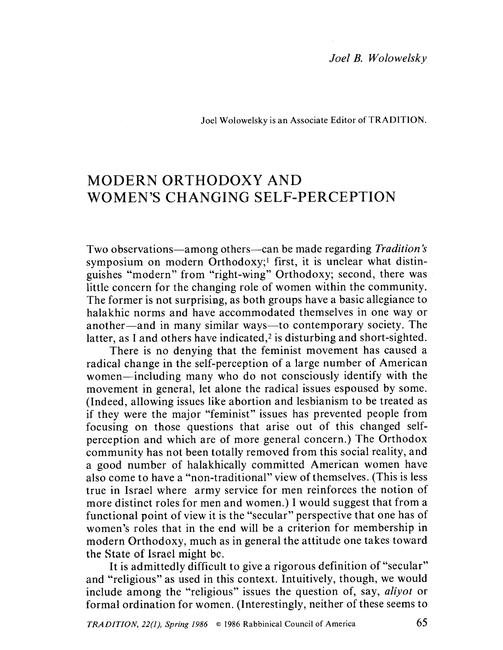## Joel Wolowelsky is an Associate Editor of TRADITION.

## MODERN ORTHODOXY AND WOMEN'S CHANGING SELF-PERCEPTION

Two observations—among others—can be made regarding Tradition's symposium on modern Orthodoxy;<sup>1</sup> first, it is unclear what distinguishes "modern" from "right-wing" Orthodoxy; second, there was little concern for the changing role of women within the community. The former is not surprising, as both groups have a basic allegiance to halakhic norms and have accommodated themselves in one way or another—and in many similar ways—to contemporary society. The latter, as I and others have indicated,<sup> $2$ </sup> is disturbing and short-sighted.

There is no denying that the feminist movement has caused a radical change in the self-perception of a large number of American women-including many who do not consciously identify with the movement in general, let alone the radical issues espoused by some. (Indeed, allowing issues like abortion and lesbianism to be treated as if they were the major "feminist" issues has prevented people from focusing on those questions that arise out of this changed selfperception and which arc of more general concern.) The Orthodox community has not been totally removed from this social reality, and a good number of halakhically committed American women have also come to have a "non-traditional" view of themselves. (This is less true in Israel where army service for men reinforces the notion of more distinct roles for men and women.) I would suggest that from a functional point of view it is the "secular" perspective that one has of women's roles that in the end will be a criterion for membership in modern Orthodoxy, much as in general the attitude one takes toward the State of Israel might be.

lt is admittedly difficult to give a rigorous definition of "secular" and "religious" as used in this context. Intuitively, though, we would include among the "religious" issues the question of, say, *aliyot* or formal ordination for women. (Interestingly, neither of these seems to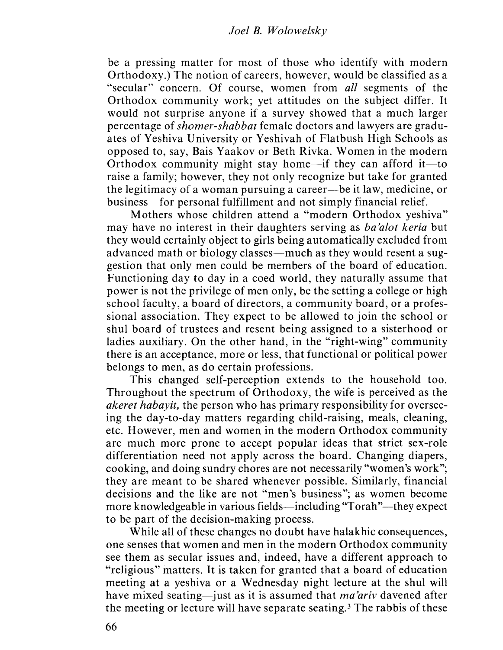be a pressing matter for most of those who identify with modern Orthodoxy.) The notion of careers, however, would be classified as a "secular" concern. Of course, women from all segments of the Orthodox community work; yet attitudes on the subject differ. It would not surprise anyone if a survey showed that a much larger percentage of shomer-shabbat female doctors and lawyers are graduates of Yeshiva University or Yeshivah of Flatbush High Schools as opposed to, say, Bais Yaakov or Beth Rivka. Women in the modern Orthodox community might stay home—if they can afford it—to raise a family; however, they not only recognizc but takc for granted the legitimacy of a woman pursuing a career-be it law, medicine, or business--for personal fulfillment and not simply financial relief.

Mothers whose children attend a "modern Orthodox yeshiva" may have no interest in their daughters serving as *ba'alot keria* but they would certainly object to girls being automatically excluded from advanced math or biology classes—much as they would resent a suggestion that only men could be members of the board of education. Functioning day to day in a coed world, they naturally assume that power is not the privilege of men only, be the setting a college or high school faculty, a board of directors, a community board, or a professional association. They expect to be allowed to join the school or shul board of trustees and resent being assigned to a sisterhood or ladies auxiliary. On the other hand, in the "right-wing" community there is an acceptance, more or less, that functional or political power belongs to men, as do certain professions.

This changed self-perception extends to the household too. Throughout the spectrum of Orthodoxy, the wife is perceived as the akeret habayit, the person who has primary responsibility for overseeing the day-to-day matters regarding child-raising, meals, cleaning, etc. However, men and women in the modern Orthodox community are much more prone to accept popular ideas that strict sex-role differentiation need not apply across the board. Changing diapers, cooking, and doing sundry chores arc not necessarily "women's work"; they are meant to be shared whenever possible. Similarly, financial decisions and the like are not "men's business"; as women become more knowledgeable in various fields—including "Torah"—they expect to be part of the decision-making process.

While all of these changes no doubt have halakhic consequences, one senses that women and men in the modern Orthodox community see them as secular issues and, indeed, have a different approach to "religious" matters. lt is taken for granted that a board of education meeting at a yeshiva or a Wednesday night lecture at the shul will have mixed seating-just as it is assumed that *ma'ariv* davened after the meeting or lecture will have separate seating.3 The rabbis of these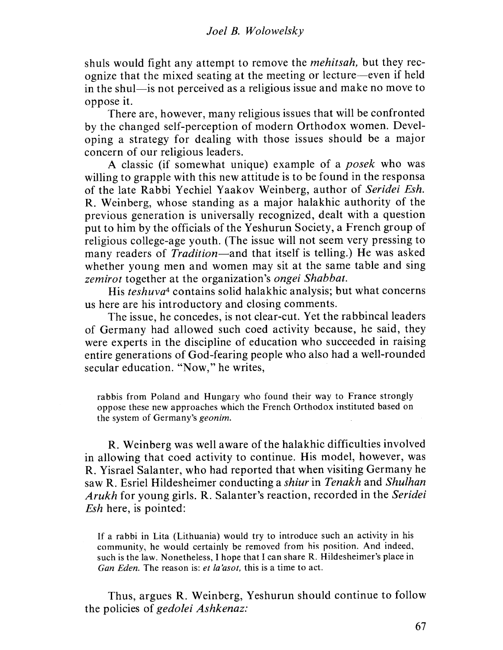shuls would fight any attempt to remove the mehitsah, but they recognize that the mixed seating at the meeting or lecture-even if held in the shul-is not perceived as a religious issue and make no move to oppose it.

There are, however, many religious issues that will be confronted by the changed self-perception of modern Orthodox women. Developing a strategy for dealing with those issues should be a major concern of our religious leaders.

A elassic (if somewhat unique) example of a posek who was willing to grapple with this new attitude is to be found in the responsa of the late Rabbi Yechiel Yaakov Weinberg, author of Seridei Esh. R. Weinberg, whose standing as a major halakhic authority of the previous generation is universally recognized, dealt with a question put to him by the officials of the Yeshurun Society, a French group of religious college-age youth. (The issue will not seem very pressing to many readers of *Tradition*—and that itself is telling.) He was asked whether young men and women may sit at the same table and sing zemirot together at the organization's ongei Shabbat.

His teshuva<sup>4</sup> contains solid halakhic analysis; but what concerns us here are his introductory and closing comments.

The issue, he concedes, is not clear-cut. Yet the rabbincal leaders of Germany had allowed such coed activity because, he said, they were experts in the discipline of education who succeeded in raising entire generations of God-fearing people who also had a well-rounded secular education. "Now," he writes,

rabbis from Poland and Hungary who found their way to France strongly oppose thcsc new approaches which the French Orthodox instituted based on the system of Germany's geonim.

R. Weinberg was well aware of the halakhic difficulties involved in allowing that coed activity to continue. His model, however, was R. Yisrael Salanter, who had reported that when visiting Germany he saw R. Esriel Hildesheimer conducting a shiur in Tenakh and Shulhan Arukh for young girls, R. Salanter's reaction, recorded in the Seridei Esh here, is pointed:

If a rabbi in Lita (Lithuania) would try to introduce such an activity in his community, he would certainly be removcd from his position. And indeed. such is the law. Nonetheless, I hope that I can share R. Hildesheimer's place in Gan Eden. The reason is: et la'asot, this is a time to act.

Thus, argues R. Weinberg, Yeshurun should continue to follow the policies of gedolei Ashkenaz: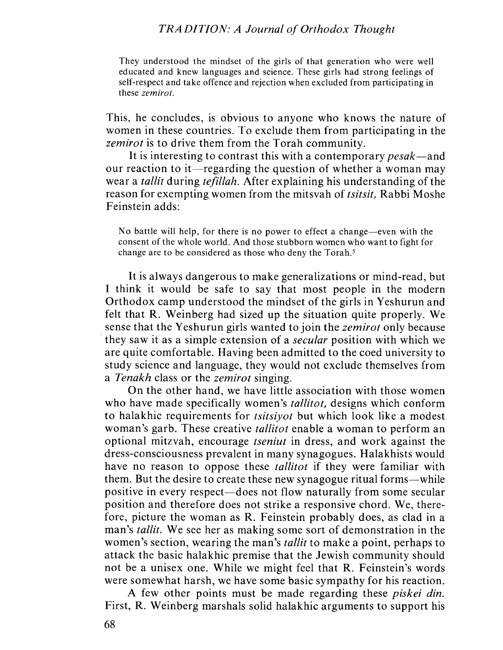## TRA DITION: A Journal of Orthodox Thought

They understood the mindset of the girls of that generation who were well educated and knew languages and science. These girls had strong feelings of self-respect and takc offcncc and rejection when exeluded from participating in these *zemirot*.

This, he concludes, is obvious to anyone who knows the nature of women in these countries. To exclude them from participating in the zemirot is to drive them from the Torah community.

It is interesting to contrast this with a contemporary *pesak*—and our reaction to it—regarding the question of whether a woman may wear a *tallit* during *tefillah*. After explaining his understanding of the reason for exempting women from the mitsvah of tsitsit, Rabbi Moshe Feinstein adds:

No battle will help, for there is no power to effect a change-even with the consent of the wholc world. And thosc stubborn womcn who want to fight for change are to be considered as those who deny the Torah.<sup>5</sup>

It is always dangerous to make generalizations or mind-read, but I think it would be safe to say that most people in the modern Orthodox camp understood the mindsct of the girls in Y cshurun and felt that R. Weinberg had sized up the situation quite properly. We sense that the Yeshurun girls wanted to join the *zemirot* only because they saw it as a simple extension of a secular position with which we are quite comfortable. Having been admitted to the coed university to study science and language, they would not exclude themselves from a Tenakh class or the *zemirot* singing.

On the other hand, we have little association with those women who have made specifically women's *tallitot*, designs which conform to halakhic requirements for tsitsiyot but which look like a modest woman's garb. These creative *tallitot* enable a woman to perform an optional mitzvah, encourage tseniut in dress, and work against the dress-consciousness prevalent in many synagogues. Halakhists would have no reason to oppose these *tallitot* if they were familiar with them. But the desire to create these new synagogue ritual forms-while positive in every respect—does not flow naturally from some secular position and therefore does not strike a responsive chord. We, therefore, picture the woman as R, Feinstein probably does, as clad in a man's *tallit*. We see her as making some sort of demonstration in the women's section, wearing the man's *tallit* to make a point, perhaps to attack the basic halakhic premise that the Jewish community should not be a unisex one. Whilc we might feel that R. Feinstein's words were somewhat harsh, we have some basic sympathy for his reaction.

A few other points must be made regarding these piskei din, First, R. Weinberg marshals solid halakhic arguments to support his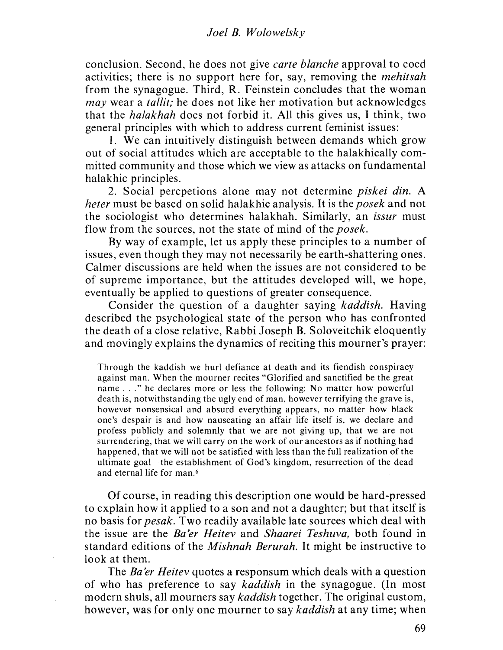conclusion. Second, he does not give carte blanche approval to coed activities; there is no support here for, say, removing the mehitsah from the synagogue. Third, R. Feinstein concludes that the woman may wear a *tallit*; he does not like her motivation but acknowledges that the halakhah does not forbid it. All this gives us, I think, two general principles with which to address current feminist issues:

i. We can intuitively distinguish between demands which grow out of social attitudes which are acceptable to the halakhically committed community and those which we view as attacks on fundamental halakhic principles.

2. Social percpetions alone may not determine piskei din. A heter must be based on solid halakhic analysis. It is the posek and not the sociologist who determines halakhah. Similarly, an issur must flow from the sources, not the state of mind of the *posek*.

By way of example, let us apply these principles to a number of issues, even though they may not necessarily be earth-shattering ones. Calmer discussions are held when the issues are not considered to be of supreme importance, but the attitudes developed will, we hope, eventually be applied to questions of greater consequence.

Consider the question of a daughter saying kaddish. Having described the psychological state of the person who has confronted thc death of a closc relative, Rabbi Joseph B. Soloveitchik eloquently and movingly explains the dynamics of reciting this mourner's prayer:

Through the kaddish we hurl defiance at death and its fiendish conspiracy against man. Whcn the mourner recites "Glorified and sanctified be the great name . . ." he declares more or less the following: No matter how powerful death is, notwithstanding the ugly end of man, however terrifying thc gravc is, however nonsensical and absurd everything appears, no matter how black one's despair is and how nauseating an affair life itself is, we declare and profess publicly and solemnly that we are not giving up, that we are not surrendering, that we will carryon the work of our ancestors as if nothing had happened, that we will not be satisfied with less than the full realization of the ultimate goal—the establishment of God's kingdom, resurrection of the dead and eternal life for man.<sup>6</sup>

Of course, in reading this description one would be hard-pressed to explain how it applied to a son and not a daughter; but that itself is no basis for pesak. Two readily available late sources which deal with the issue are the Ba 'er Heitev and Shaarei Teshuva, both found in standard editions of the Mishnah Berurah. It might be instructive to look at them,

The Ba'er Heitev quotes a responsum which deals with a question of who has preference to say kaddish in the synagogue. (In most modern shuls, all mourners say kaddish together. The original custom, however, was for only one mourner to say kaddish at any time; when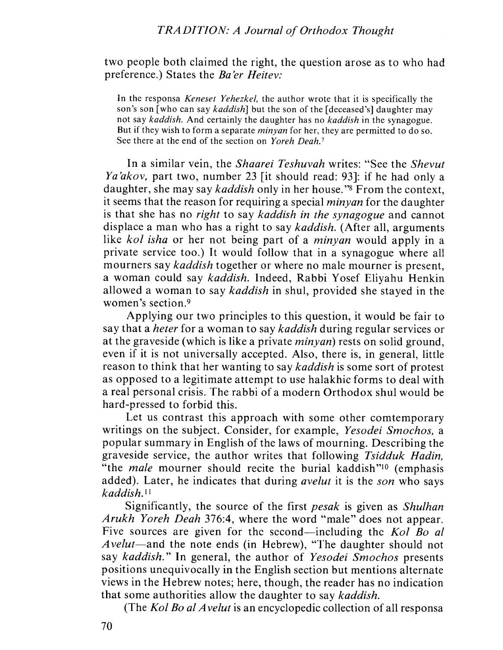two people both claimed the right, the question arose as to who had preference.) States the Ba'er Heitev:

In the responsa *Keneset Yehezkel*, the author wrote that it is specifically the son's son (who can say *kaddish*) but the son of the (deceased's) daughter may not say kaddish. And certainly the daughter has no kaddish in the synagogue. But if they wish to form a separate *minyan* for her, they are permitted to do so. See there at the end of the section on Yoreh Deah.<sup>7</sup>

In a similar vein, the Shaarei Teshuvah writes: "See the Shevut Ya'akov, part two, number 23 [it should read: 93]: if he had only a daughter, she may say *kaddish* only in her house."<sup>8</sup> From the context, it seems that the reason for requiring a special minyan for the daughter is that she has no *right* to say *kaddish in the synagogue* and cannot displace a man who has a right to say *kaddish*. (After all, arguments like kol isha or her not being part of a *minyan* would apply in a private service too.) It would follow that in a synagogue where all mourners say *kaddish* together or where no male mourner is present, a woman could say kaddish. Indeed, Rabbi Yosef Eliyahu Henkin allowed a woman to say kaddish in shul, provided she stayed in the women's section.9

Applying our two principles to this question, it would be fair to say that a heter for a woman to say kaddish during regular services or at the graveside (which is like a private minyan) rests on solid ground, even if it is not universally accepted. Also, there is, in general, little reason to think that her wanting to say kaddish is some sort of protest as opposed to a legitimate attempt to use halakhic forms to deal with a real personal crisis. Thc rabbi of a modern Orthodox shul would be hard-pressed to forbid this.

Let us contrast this approach with some other comtemporary writings on the subject. Consider, for example, Yesodei Smochos, a popular summary in English of the laws of mourning. Describing the graveside service, the author writes that following Tsidduk Hadin, "the *male* mourner should recite the burial kaddish"<sup>10</sup> (emphasis added). Later, he indicates that during *avelut* it is the *son* who says kaddish.''

Significantly, the source of the first pesak is given as Shulhan Arukh Yoreh Deah 376:4, where the word "male" does not appear. Five sources are given for the second—including the Kol Bo al Avelut-and the note ends (in Hebrew), "The daughter should not say kaddish." In general, the author of Yesodei Smochos presents positions unequivocally in the English section but mentions alternate views in the Hebrew notes; here, though, the reader has no indication that some authorities allow the daughter to say kaddish.

(The Kol Bo al Avelut is an encyclopedic collection of all responsa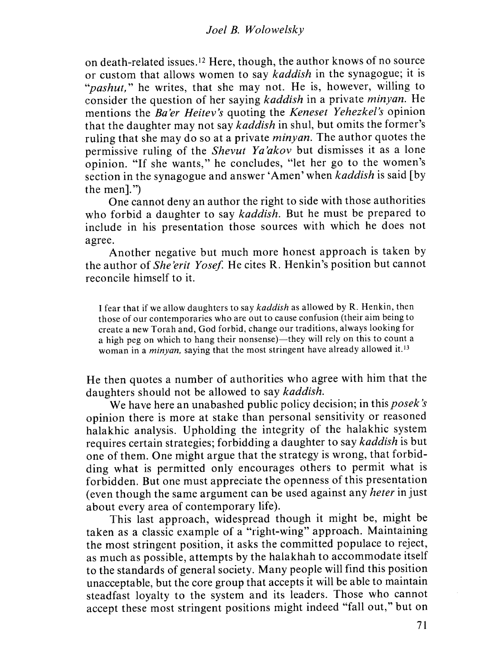on death-related issues. 12 Here, though, the author knows of no source or custom that allows women to say kaddish in the synagogue; it is "*pashut*," he writes, that she may not. He is, however, willing to consider the question of her saying kaddish in a private minyan. He mentions the Ba'er Heitev's quoting the Keneset Yehezkel's opinion that the daughter may not say kaddish in shul, but omits the former's ruling that she may do so at a private *minyan*. The author quotes the permissive ruling of the Shevut Ya'akov but dismisses it as a lone opinion. "If she wants," he concludes, "let her go to the women's section in the synagogue and answer 'Amen' when *kaddish* is said [by the men $\mathbf{l}$ ."

One cannot deny an author the right to side with those authorities who forbid a daughter to say kaddish. But he must be prepared to include in his presentation those sources with which he does not agree,

Another negative but much more honest approach is taken by the author of *She'erit Yosef*. He cites R. Henkin's position but cannot reconcile himself to it.

I fear that if we allow daughters to say kaddish as allowed by R. Henkin, thcn tbosc of our contemporarics who are out to cause confusion (their aim being to crcate a new Torah and, God forbid, change our traditions, always looking for a high peg on which to hang their nonsense)—they will rely on this to count a woman in a *minyan*, saying that the most stringent have already allowed it.<sup>13</sup>

He then quotes a number of authorities who agree with him that the daughters should not be allowed to say kaddish.

We have here an unabashed public policy decision; in this posek's opinion there is more at stake than personal sensitivity or reasoned halakhic analysis. Upholding the integrity of the halakhic system requires certain strategies; forbidding a daughter to say kaddish is but one of them. One might argue that the strategy is wrong, that forbidding what is permitted only encourages others to permit what is forbidden. But one must appreciate the openness of this presentation (even though the same argument can be used against any heter in just about every area of contemporary life).

This last approach, widespread though it might be, might be taken as a elassic example of a "right-wing" approach. Maintaining the most stringent position, it asks the committed populace to reject, as much as possible, attempts by the halakhah to accommodate itself to the standards of general society. Many people will find this position unacceptable, but the core group that accepts it will be able to maintain steadfast loyalty to the system and its leaders. Those who cannot accept these most stringent positions might indeed "fall out," but on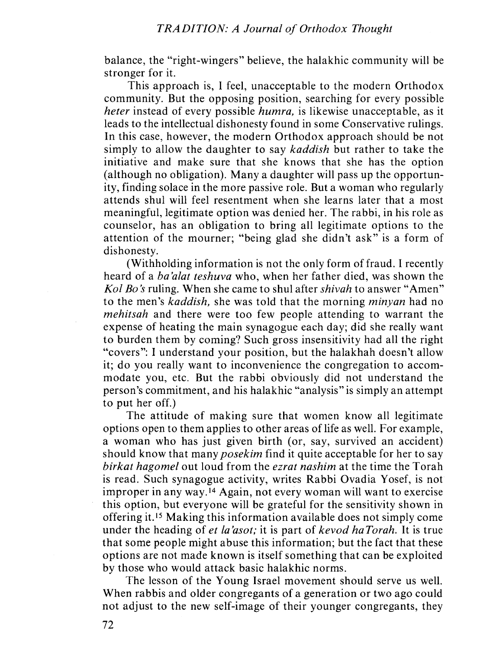balance, the "right-wingers" believe, the halakhic community will be stronger for it.

This approach is, I feel, unacceptable to the modern Orthodox community. But the opposing position, searching for every possible heter instead of every possible humra, is likewise unacceptable, as it leads to the intellectual dishonesty found in some Conservative rulings. In this case, however, the modern Orthodox approach should be not simply to allow the daughter to say kaddish but rather to take the initiative and make sure that she knows that she has the option (although no obligation). Many a daughter will pass up the opportunity, finding solace in the more passive role. But a woman who regularly attends shul will feel resentment when she learns later that a most meaningful, legitimate option was denied her. The rabbi, in his role as counselor, has an obligation to bring all legitimate options to the attention of the mourner; "being glad she didn't ask" is a form of dishonesty.

(Withholding information is not the only form of fraud. I recently heard of a ba'alat teshuva who, when her father died, was shown the Kol Bo's ruling. When she came to shul after *shivah* to answer "Amen" to the men's kaddish, she was told that the morning minyan had no mehitsah and there were too few people attending to warrant the expense of heating the main synagogue each day; did she really want to burden them by coming? Such gross insensitivity had all the right "covers": I understand your position, but the halakhah doesn't allow it; do you really want to inconvenience the congregation to accommodate you, etc. But the rabbi obviously did not understand the person's commitment, and his halakhic "analysis" is simply an attempt to put her off.)

The attitude of making sure that women know all legitimate options open to them applies to other areas of life as well. For example, a woman who has just given birth (or, say, survived an accident) should know that many *posekim* find it quite acceptable for her to say birkat hagomel out loud from the ezrat nashim at the time the Torah is read. Such synagogue activity, writes Rabbi Ovadia Yosef, is not improper in any way.14 Again, not every woman will want to exercise this option, but everyone will be grateful for the sensitivity shown in offering it.15 Making this information available does not simply come under the heading of *et la'asot*; it is part of kevod haTorah. It is true that some people might abuse this information; but the fact that these options are not made known is itself something that can be exploited by those who would attack basic halakhic norms.

The lesson of the Young Israel movement should serve us well. When rabbis and older congregants of a generation or two ago could not adjust to the new sclf-imagc of their younger congregants, they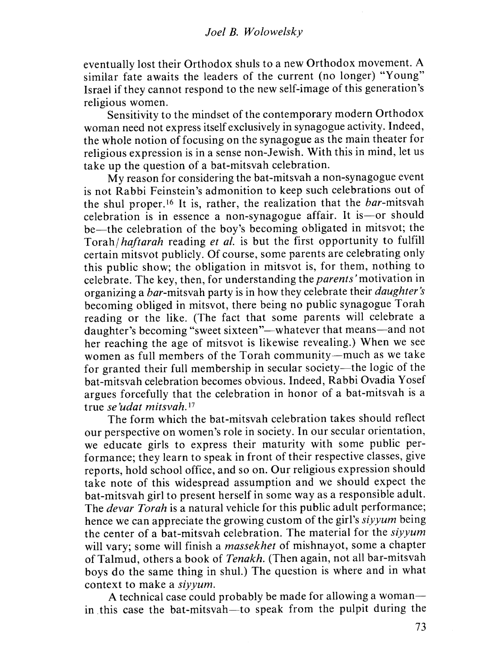eventually lost their Orthodox shuls to a new Orthodox movement. A similar fate awaits the leaders of the current (no longer) "Young" Israel if they cannot respond to the new self-image of this generation's religious women.

Sensitivity to the mindsct of the contemporary modern Orthodox woman need not express itself exclusively in synagogue activity. Indeed, the whole notion of focusing on the synagogue as the main theater for religious expression is in a sense non-Jewish. With this in mind, let us take up the question of a bat-mitsvah celebration.

My reason for considering the bat-mitsvah a non-synagogue event is not Rabbi Feinstein's admonition to keep such celebrations out of the shul proper.16 It is, rather, the realization that the bar-mitsvah celebration is in essence a non-synagogue affair. It is -- or should be-the celebration of the boy's becoming obligated in mitsvot; the Torah/haftarah reading et al. is but the first opportunity to fulfill certain mitsvot publicly. Of course, some parents are celebrating only this public show; the obligation in mitsvot is, for them, nothing to celebrate. The key, then, for understanding the parents' motivation in organizing a bar-mitsvah party is in how they celebrate their *daughter's* becoming obliged in mitsvot, there being no public synagogue Torah reading or the like, (The fact that some parents will celebrate a daughter's becoming "sweet sixteen"—whatever that means—and not her reaching the age of mitsvot is likewise revealing.) When we see women as full members of the Torah community-much as we take for granted their full membership in secular society- the logic of the bat-mitsvah celebration becomes obvious. Indeed, Rabbi Ovadia Y osef argues forcefully that the celebration in honor of a bat-mitsvah is a true se'udat mitsvah.<sup>17</sup>

The form which the bat-mitsvah celebration takes should reflect our perspective on women's role in society. In our secular orientation, we educate girls to express their maturity with some public performance; they learn to speak in front of their respective classes, give reports, hold school office, and so on. Our religious expression should take note of this widespread assumption and we should expect the bat-mitsvah girl to present herself in somc way as a responsible adult. The *devar Torah* is a natural vehicle for this public adult performance; hence we can appreciate the growing custom of the girl's siyyum being the center of a bat-mitsvah celebration. The material for the siyyum will vary; some will finish a *massekhet* of mishnayot, some a chapter of Talmud, others a book of Tenakh. (Then again, not all bar-mitsvah boys do the same thing in shul.) The question is where and in what context to make a siyyum,

A technical case could probably be made for allowing a womanin this case the bat-mitsvah—to speak from the pulpit during the